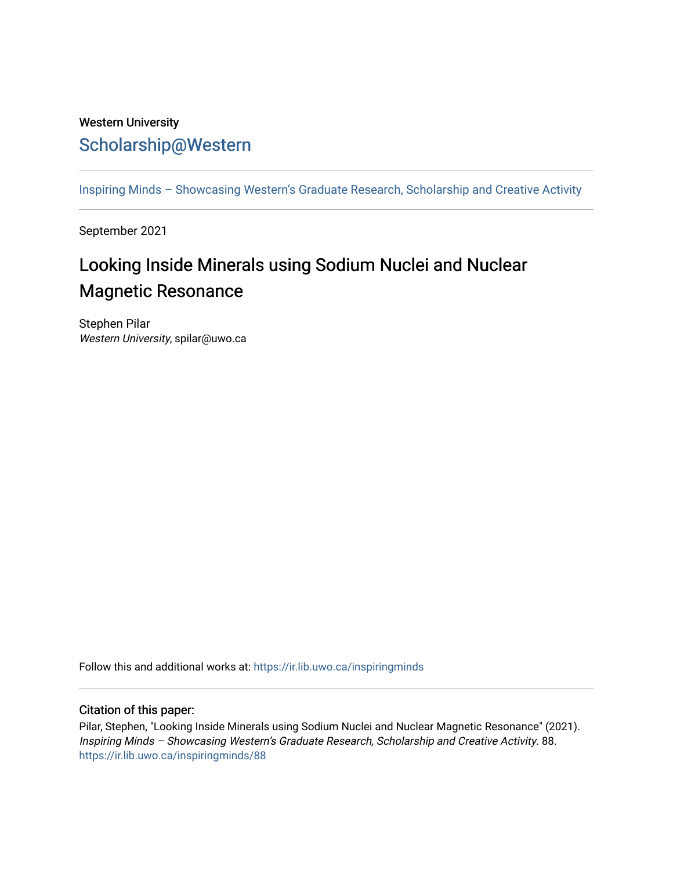## Western University [Scholarship@Western](https://ir.lib.uwo.ca/)

[Inspiring Minds – Showcasing Western's Graduate Research, Scholarship and Creative Activity](https://ir.lib.uwo.ca/inspiringminds) 

September 2021

## Looking Inside Minerals using Sodium Nuclei and Nuclear Magnetic Resonance

Stephen Pilar Western University, spilar@uwo.ca

Follow this and additional works at: [https://ir.lib.uwo.ca/inspiringminds](https://ir.lib.uwo.ca/inspiringminds?utm_source=ir.lib.uwo.ca%2Finspiringminds%2F88&utm_medium=PDF&utm_campaign=PDFCoverPages) 

## Citation of this paper:

Pilar, Stephen, "Looking Inside Minerals using Sodium Nuclei and Nuclear Magnetic Resonance" (2021). Inspiring Minds – Showcasing Western's Graduate Research, Scholarship and Creative Activity. 88. [https://ir.lib.uwo.ca/inspiringminds/88](https://ir.lib.uwo.ca/inspiringminds/88?utm_source=ir.lib.uwo.ca%2Finspiringminds%2F88&utm_medium=PDF&utm_campaign=PDFCoverPages)